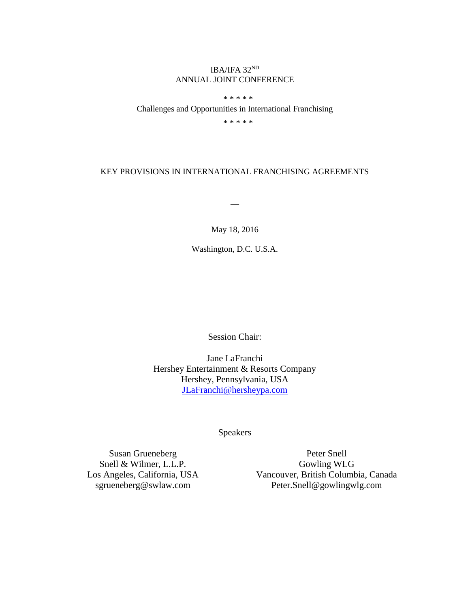# IBA/IFA 32ND ANNUAL JOINT CONFERENCE

\* \* \* \* \*

Challenges and Opportunities in International Franchising

\* \* \* \* \*

## KEY PROVISIONS IN INTERNATIONAL FRANCHISING AGREEMENTS

 $\overline{\phantom{a}}$ 

# May 18, 2016

Washington, D.C. U.S.A.

Session Chair:

Jane LaFranchi Hershey Entertainment & Resorts Company Hershey, Pennsylvania, USA [JLaFranchi@hersheypa.com](mailto:JLaFranchi@hersheypa.com)

Speakers

Susan Grueneberg Snell & Wilmer, L.L.P. Los Angeles, California, USA sgrueneberg@swlaw.com

Peter Snell Gowling WLG Vancouver, British Columbia, Canada Peter.Snell@gowlingwlg.com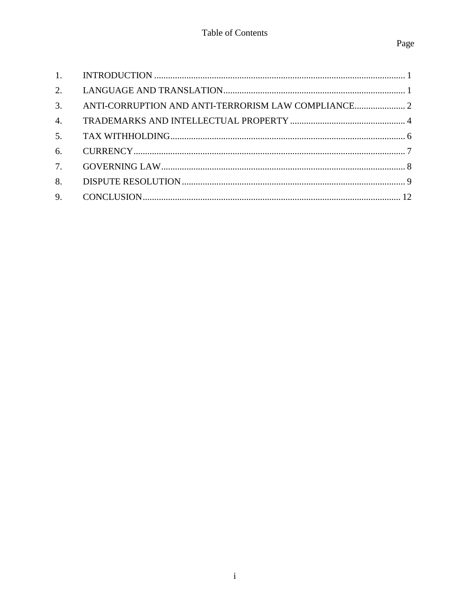| 3.               |  |
|------------------|--|
| $\overline{4}$ . |  |
| 5 <sub>1</sub>   |  |
| 6.               |  |
| 7.               |  |
| 8.               |  |
| 9.               |  |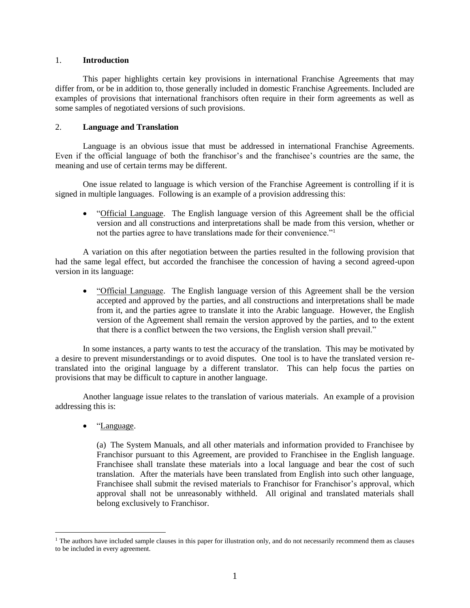## 1. **Introduction**

This paper highlights certain key provisions in international Franchise Agreements that may differ from, or be in addition to, those generally included in domestic Franchise Agreements. Included are examples of provisions that international franchisors often require in their form agreements as well as some samples of negotiated versions of such provisions.

## 2. **Language and Translation**

Language is an obvious issue that must be addressed in international Franchise Agreements. Even if the official language of both the franchisor's and the franchisee's countries are the same, the meaning and use of certain terms may be different.

One issue related to language is which version of the Franchise Agreement is controlling if it is signed in multiple languages. Following is an example of a provision addressing this:

• "Official Language. The English language version of this Agreement shall be the official version and all constructions and interpretations shall be made from this version, whether or not the parties agree to have translations made for their convenience."<sup>1</sup>

A variation on this after negotiation between the parties resulted in the following provision that had the same legal effect, but accorded the franchisee the concession of having a second agreed-upon version in its language:

• "Official Language. The English language version of this Agreement shall be the version accepted and approved by the parties, and all constructions and interpretations shall be made from it, and the parties agree to translate it into the Arabic language. However, the English version of the Agreement shall remain the version approved by the parties, and to the extent that there is a conflict between the two versions, the English version shall prevail."

In some instances, a party wants to test the accuracy of the translation. This may be motivated by a desire to prevent misunderstandings or to avoid disputes. One tool is to have the translated version retranslated into the original language by a different translator. This can help focus the parties on provisions that may be difficult to capture in another language.

Another language issue relates to the translation of various materials. An example of a provision addressing this is:

• "Language.

 $\overline{a}$ 

(a) The System Manuals, and all other materials and information provided to Franchisee by Franchisor pursuant to this Agreement, are provided to Franchisee in the English language. Franchisee shall translate these materials into a local language and bear the cost of such translation. After the materials have been translated from English into such other language, Franchisee shall submit the revised materials to Franchisor for Franchisor's approval, which approval shall not be unreasonably withheld. All original and translated materials shall belong exclusively to Franchisor.

<sup>&</sup>lt;sup>1</sup> The authors have included sample clauses in this paper for illustration only, and do not necessarily recommend them as clauses to be included in every agreement.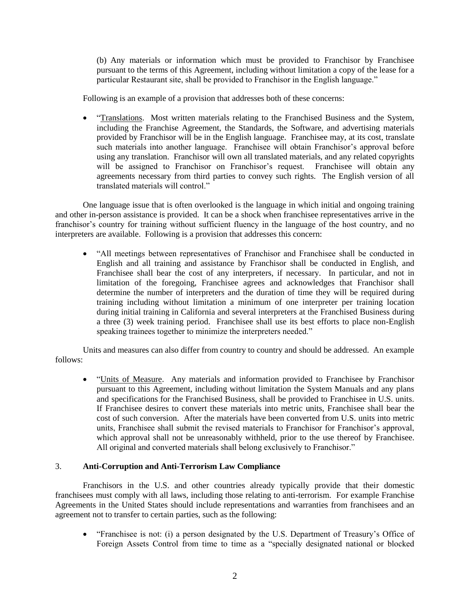(b) Any materials or information which must be provided to Franchisor by Franchisee pursuant to the terms of this Agreement, including without limitation a copy of the lease for a particular Restaurant site, shall be provided to Franchisor in the English language."

Following is an example of a provision that addresses both of these concerns:

• "Translations. Most written materials relating to the Franchised Business and the System, including the Franchise Agreement, the Standards, the Software, and advertising materials provided by Franchisor will be in the English language. Franchisee may, at its cost, translate such materials into another language. Franchisee will obtain Franchisor's approval before using any translation. Franchisor will own all translated materials, and any related copyrights will be assigned to Franchisor on Franchisor's request. Franchisee will obtain any agreements necessary from third parties to convey such rights. The English version of all translated materials will control."

One language issue that is often overlooked is the language in which initial and ongoing training and other in-person assistance is provided. It can be a shock when franchisee representatives arrive in the franchisor's country for training without sufficient fluency in the language of the host country, and no interpreters are available. Following is a provision that addresses this concern:

 "All meetings between representatives of Franchisor and Franchisee shall be conducted in English and all training and assistance by Franchisor shall be conducted in English, and Franchisee shall bear the cost of any interpreters, if necessary. In particular, and not in limitation of the foregoing, Franchisee agrees and acknowledges that Franchisor shall determine the number of interpreters and the duration of time they will be required during training including without limitation a minimum of one interpreter per training location during initial training in California and several interpreters at the Franchised Business during a three (3) week training period. Franchisee shall use its best efforts to place non-English speaking trainees together to minimize the interpreters needed."

Units and measures can also differ from country to country and should be addressed. An example follows:

• "Units of Measure. Any materials and information provided to Franchisee by Franchisor pursuant to this Agreement, including without limitation the System Manuals and any plans and specifications for the Franchised Business, shall be provided to Franchisee in U.S. units. If Franchisee desires to convert these materials into metric units, Franchisee shall bear the cost of such conversion. After the materials have been converted from U.S. units into metric units, Franchisee shall submit the revised materials to Franchisor for Franchisor's approval, which approval shall not be unreasonably withheld, prior to the use thereof by Franchisee. All original and converted materials shall belong exclusively to Franchisor."

## 3. **Anti-Corruption and Anti-Terrorism Law Compliance**

Franchisors in the U.S. and other countries already typically provide that their domestic franchisees must comply with all laws, including those relating to anti-terrorism. For example Franchise Agreements in the United States should include representations and warranties from franchisees and an agreement not to transfer to certain parties, such as the following:

 "Franchisee is not: (i) a person designated by the U.S. Department of Treasury's Office of Foreign Assets Control from time to time as a "specially designated national or blocked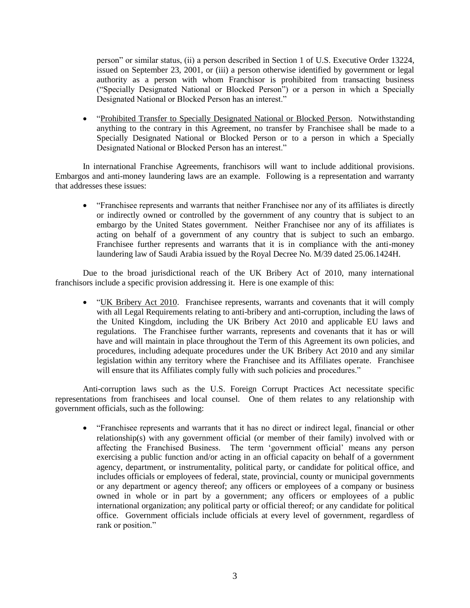person" or similar status, (ii) a person described in Section 1 of U.S. Executive Order 13224, issued on September 23, 2001, or (iii) a person otherwise identified by government or legal authority as a person with whom Franchisor is prohibited from transacting business ("Specially Designated National or Blocked Person") or a person in which a Specially Designated National or Blocked Person has an interest."

 "Prohibited Transfer to Specially Designated National or Blocked Person. Notwithstanding anything to the contrary in this Agreement, no transfer by Franchisee shall be made to a Specially Designated National or Blocked Person or to a person in which a Specially Designated National or Blocked Person has an interest."

In international Franchise Agreements, franchisors will want to include additional provisions. Embargos and anti-money laundering laws are an example. Following is a representation and warranty that addresses these issues:

 "Franchisee represents and warrants that neither Franchisee nor any of its affiliates is directly or indirectly owned or controlled by the government of any country that is subject to an embargo by the United States government. Neither Franchisee nor any of its affiliates is acting on behalf of a government of any country that is subject to such an embargo. Franchisee further represents and warrants that it is in compliance with the anti-money laundering law of Saudi Arabia issued by the Royal Decree No. M/39 dated 25.06.1424H.

Due to the broad jurisdictional reach of the UK Bribery Act of 2010, many international franchisors include a specific provision addressing it. Here is one example of this:

 "UK Bribery Act 2010. Franchisee represents, warrants and covenants that it will comply with all Legal Requirements relating to anti-bribery and anti-corruption, including the laws of the United Kingdom, including the UK Bribery Act 2010 and applicable EU laws and regulations. The Franchisee further warrants, represents and covenants that it has or will have and will maintain in place throughout the Term of this Agreement its own policies, and procedures, including adequate procedures under the UK Bribery Act 2010 and any similar legislation within any territory where the Franchisee and its Affiliates operate. Franchisee will ensure that its Affiliates comply fully with such policies and procedures."

Anti-corruption laws such as the U.S. Foreign Corrupt Practices Act necessitate specific representations from franchisees and local counsel. One of them relates to any relationship with government officials, such as the following:

 "Franchisee represents and warrants that it has no direct or indirect legal, financial or other relationship(s) with any government official (or member of their family) involved with or affecting the Franchised Business. The term 'government official' means any person exercising a public function and/or acting in an official capacity on behalf of a government agency, department, or instrumentality, political party, or candidate for political office, and includes officials or employees of federal, state, provincial, county or municipal governments or any department or agency thereof; any officers or employees of a company or business owned in whole or in part by a government; any officers or employees of a public international organization; any political party or official thereof; or any candidate for political office. Government officials include officials at every level of government, regardless of rank or position."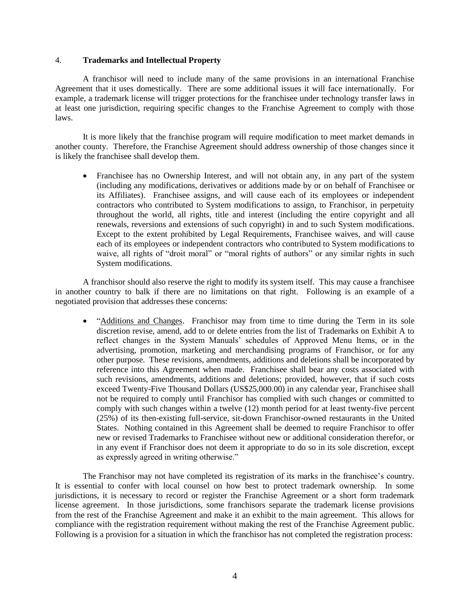## 4. **Trademarks and Intellectual Property**

A franchisor will need to include many of the same provisions in an international Franchise Agreement that it uses domestically. There are some additional issues it will face internationally. For example, a trademark license will trigger protections for the franchisee under technology transfer laws in at least one jurisdiction, requiring specific changes to the Franchise Agreement to comply with those laws.

It is more likely that the franchise program will require modification to meet market demands in another county. Therefore, the Franchise Agreement should address ownership of those changes since it is likely the franchisee shall develop them.

• Franchisee has no Ownership Interest, and will not obtain any, in any part of the system (including any modifications, derivatives or additions made by or on behalf of Franchisee or its Affiliates). Franchisee assigns, and will cause each of its employees or independent contractors who contributed to System modifications to assign, to Franchisor, in perpetuity throughout the world, all rights, title and interest (including the entire copyright and all renewals, reversions and extensions of such copyright) in and to such System modifications. Except to the extent prohibited by Legal Requirements, Franchisee waives, and will cause each of its employees or independent contractors who contributed to System modifications to waive, all rights of "droit moral" or "moral rights of authors" or any similar rights in such System modifications.

A franchisor should also reserve the right to modify its system itself. This may cause a franchisee in another country to balk if there are no limitations on that right. Following is an example of a negotiated provision that addresses these concerns:

 "Additions and Changes. Franchisor may from time to time during the Term in its sole discretion revise, amend, add to or delete entries from the list of Trademarks on Exhibit A to reflect changes in the System Manuals' schedules of Approved Menu Items, or in the advertising, promotion, marketing and merchandising programs of Franchisor, or for any other purpose. These revisions, amendments, additions and deletions shall be incorporated by reference into this Agreement when made. Franchisee shall bear any costs associated with such revisions, amendments, additions and deletions; provided, however, that if such costs exceed Twenty-Five Thousand Dollars (US\$25,000.00) in any calendar year, Franchisee shall not be required to comply until Franchisor has complied with such changes or committed to comply with such changes within a twelve (12) month period for at least twenty-five percent (25%) of its then-existing full-service, sit-down Franchisor-owned restaurants in the United States. Nothing contained in this Agreement shall be deemed to require Franchisor to offer new or revised Trademarks to Franchisee without new or additional consideration therefor, or in any event if Franchisor does not deem it appropriate to do so in its sole discretion, except as expressly agreed in writing otherwise."

The Franchisor may not have completed its registration of its marks in the franchisee's country. It is essential to confer with local counsel on how best to protect trademark ownership. In some jurisdictions, it is necessary to record or register the Franchise Agreement or a short form trademark license agreement. In those jurisdictions, some franchisors separate the trademark license provisions from the rest of the Franchise Agreement and make it an exhibit to the main agreement. This allows for compliance with the registration requirement without making the rest of the Franchise Agreement public. Following is a provision for a situation in which the franchisor has not completed the registration process: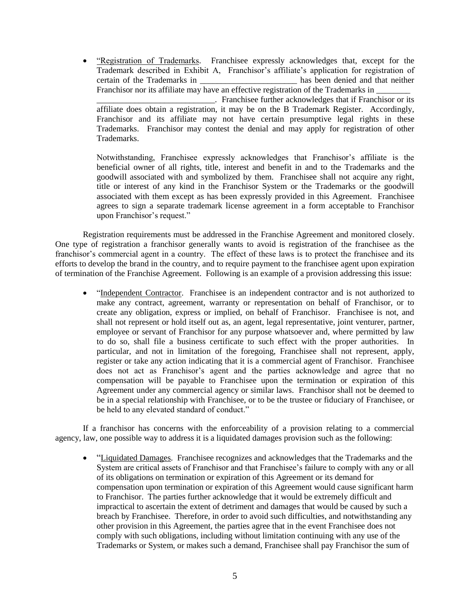• "Registration of Trademarks. Franchisee expressly acknowledges that, except for the Trademark described in Exhibit A, Franchisor's affiliate's application for registration of certain of the Trademarks in the second has been denied and that neither Franchisor nor its affiliate may have an effective registration of the Trademarks in

\_\_\_\_\_\_\_\_\_\_\_\_\_\_\_\_\_\_\_\_\_\_\_\_\_\_\_\_. Franchisee further acknowledges that if Franchisor or its affiliate does obtain a registration, it may be on the B Trademark Register. Accordingly, Franchisor and its affiliate may not have certain presumptive legal rights in these Trademarks. Franchisor may contest the denial and may apply for registration of other **Trademarks** 

Notwithstanding, Franchisee expressly acknowledges that Franchisor's affiliate is the beneficial owner of all rights, title, interest and benefit in and to the Trademarks and the goodwill associated with and symbolized by them. Franchisee shall not acquire any right, title or interest of any kind in the Franchisor System or the Trademarks or the goodwill associated with them except as has been expressly provided in this Agreement. Franchisee agrees to sign a separate trademark license agreement in a form acceptable to Franchisor upon Franchisor's request."

Registration requirements must be addressed in the Franchise Agreement and monitored closely. One type of registration a franchisor generally wants to avoid is registration of the franchisee as the franchisor's commercial agent in a country. The effect of these laws is to protect the franchisee and its efforts to develop the brand in the country, and to require payment to the franchisee agent upon expiration of termination of the Franchise Agreement. Following is an example of a provision addressing this issue:

• "Independent Contractor. Franchisee is an independent contractor and is not authorized to make any contract, agreement, warranty or representation on behalf of Franchisor, or to create any obligation, express or implied, on behalf of Franchisor. Franchisee is not, and shall not represent or hold itself out as, an agent, legal representative, joint venturer, partner, employee or servant of Franchisor for any purpose whatsoever and, where permitted by law to do so, shall file a business certificate to such effect with the proper authorities. In particular, and not in limitation of the foregoing, Franchisee shall not represent, apply, register or take any action indicating that it is a commercial agent of Franchisor. Franchisee does not act as Franchisor's agent and the parties acknowledge and agree that no compensation will be payable to Franchisee upon the termination or expiration of this Agreement under any commercial agency or similar laws. Franchisor shall not be deemed to be in a special relationship with Franchisee, or to be the trustee or fiduciary of Franchisee, or be held to any elevated standard of conduct."

If a franchisor has concerns with the enforceability of a provision relating to a commercial agency, law, one possible way to address it is a liquidated damages provision such as the following:

 "Liquidated Damages. Franchisee recognizes and acknowledges that the Trademarks and the System are critical assets of Franchisor and that Franchisee's failure to comply with any or all of its obligations on termination or expiration of this Agreement or its demand for compensation upon termination or expiration of this Agreement would cause significant harm to Franchisor. The parties further acknowledge that it would be extremely difficult and impractical to ascertain the extent of detriment and damages that would be caused by such a breach by Franchisee. Therefore, in order to avoid such difficulties, and notwithstanding any other provision in this Agreement, the parties agree that in the event Franchisee does not comply with such obligations, including without limitation continuing with any use of the Trademarks or System, or makes such a demand, Franchisee shall pay Franchisor the sum of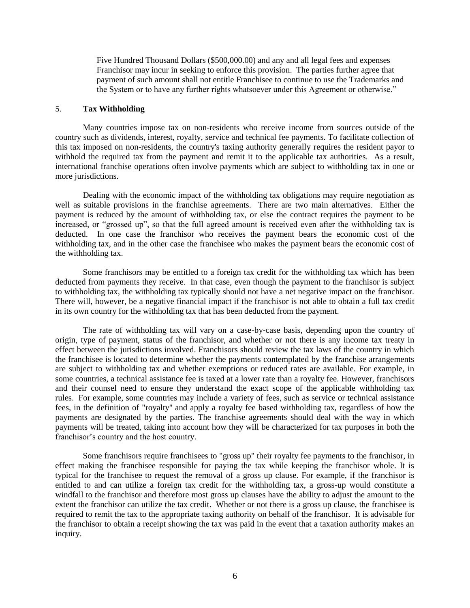Five Hundred Thousand Dollars (\$500,000.00) and any and all legal fees and expenses Franchisor may incur in seeking to enforce this provision. The parties further agree that payment of such amount shall not entitle Franchisee to continue to use the Trademarks and the System or to have any further rights whatsoever under this Agreement or otherwise."

## 5. **Tax Withholding**

Many countries impose tax on non-residents who receive income from sources outside of the country such as dividends, interest, royalty, service and technical fee payments. To facilitate collection of this tax imposed on non-residents, the country's taxing authority generally requires the resident payor to withhold the required tax from the payment and remit it to the applicable tax authorities. As a result, international franchise operations often involve payments which are subject to withholding tax in one or more jurisdictions.

Dealing with the economic impact of the withholding tax obligations may require negotiation as well as suitable provisions in the franchise agreements. There are two main alternatives. Either the payment is reduced by the amount of withholding tax, or else the contract requires the payment to be increased, or "grossed up", so that the full agreed amount is received even after the withholding tax is deducted. In one case the franchisor who receives the payment bears the economic cost of the withholding tax, and in the other case the franchisee who makes the payment bears the economic cost of the withholding tax.

Some franchisors may be entitled to a foreign tax credit for the withholding tax which has been deducted from payments they receive. In that case, even though the payment to the franchisor is subject to withholding tax, the withholding tax typically should not have a net negative impact on the franchisor. There will, however, be a negative financial impact if the franchisor is not able to obtain a full tax credit in its own country for the withholding tax that has been deducted from the payment.

The rate of withholding tax will vary on a case-by-case basis, depending upon the country of origin, type of payment, status of the franchisor, and whether or not there is any income tax treaty in effect between the jurisdictions involved. Franchisors should review the tax laws of the country in which the franchisee is located to determine whether the payments contemplated by the franchise arrangements are subject to withholding tax and whether exemptions or reduced rates are available. For example, in some countries, a technical assistance fee is taxed at a lower rate than a royalty fee. However, franchisors and their counsel need to ensure they understand the exact scope of the applicable withholding tax rules. For example, some countries may include a variety of fees, such as service or technical assistance fees, in the definition of "royalty'' and apply a royalty fee based withholding tax, regardless of how the payments are designated by the parties. The franchise agreements should deal with the way in which payments will be treated, taking into account how they will be characterized for tax purposes in both the franchisor's country and the host country.

Some franchisors require franchisees to "gross up" their royalty fee payments to the franchisor, in effect making the franchisee responsible for paying the tax while keeping the franchisor whole. It is typical for the franchisee to request the removal of a gross up clause. For example, if the franchisor is entitled to and can utilize a foreign tax credit for the withholding tax, a gross-up would constitute a windfall to the franchisor and therefore most gross up clauses have the ability to adjust the amount to the extent the franchisor can utilize the tax credit. Whether or not there is a gross up clause, the franchisee is required to remit the tax to the appropriate taxing authority on behalf of the franchisor. It is advisable for the franchisor to obtain a receipt showing the tax was paid in the event that a taxation authority makes an inquiry.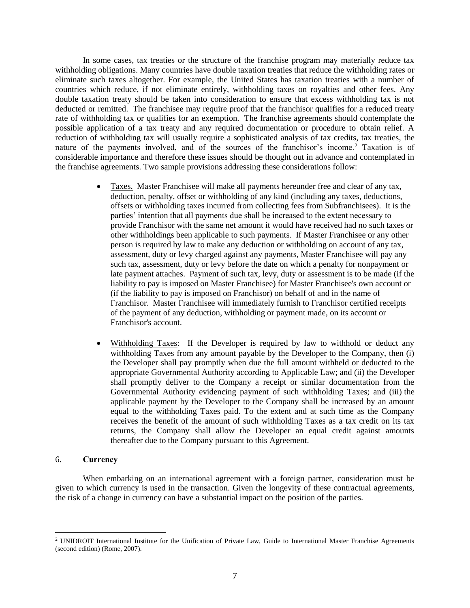In some cases, tax treaties or the structure of the franchise program may materially reduce tax withholding obligations. Many countries have double taxation treaties that reduce the withholding rates or eliminate such taxes altogether. For example, the United States has taxation treaties with a number of countries which reduce, if not eliminate entirely, withholding taxes on royalties and other fees. Any double taxation treaty should be taken into consideration to ensure that excess withholding tax is not deducted or remitted. The franchisee may require proof that the franchisor qualifies for a reduced treaty rate of withholding tax or qualifies for an exemption. The franchise agreements should contemplate the possible application of a tax treaty and any required documentation or procedure to obtain relief. A reduction of withholding tax will usually require a sophisticated analysis of tax credits, tax treaties, the nature of the payments involved, and of the sources of the franchisor's income.<sup>2</sup> Taxation is of considerable importance and therefore these issues should be thought out in advance and contemplated in the franchise agreements. Two sample provisions addressing these considerations follow:

- Taxes. Master Franchisee will make all payments hereunder free and clear of any tax, deduction, penalty, offset or withholding of any kind (including any taxes, deductions, offsets or withholding taxes incurred from collecting fees from Subfranchisees). It is the parties' intention that all payments due shall be increased to the extent necessary to provide Franchisor with the same net amount it would have received had no such taxes or other withholdings been applicable to such payments. If Master Franchisee or any other person is required by law to make any deduction or withholding on account of any tax, assessment, duty or levy charged against any payments, Master Franchisee will pay any such tax, assessment, duty or levy before the date on which a penalty for nonpayment or late payment attaches. Payment of such tax, levy, duty or assessment is to be made (if the liability to pay is imposed on Master Franchisee) for Master Franchisee's own account or (if the liability to pay is imposed on Franchisor) on behalf of and in the name of Franchisor. Master Franchisee will immediately furnish to Franchisor certified receipts of the payment of any deduction, withholding or payment made, on its account or Franchisor's account.
- Withholding Taxes: If the Developer is required by law to withhold or deduct any withholding Taxes from any amount payable by the Developer to the Company, then (i) the Developer shall pay promptly when due the full amount withheld or deducted to the appropriate Governmental Authority according to Applicable Law; and (ii) the Developer shall promptly deliver to the Company a receipt or similar documentation from the Governmental Authority evidencing payment of such withholding Taxes; and (iii) the applicable payment by the Developer to the Company shall be increased by an amount equal to the withholding Taxes paid. To the extent and at such time as the Company receives the benefit of the amount of such withholding Taxes as a tax credit on its tax returns, the Company shall allow the Developer an equal credit against amounts thereafter due to the Company pursuant to this Agreement.

### 6. **Currency**

 $\overline{a}$ 

When embarking on an international agreement with a foreign partner, consideration must be given to which currency is used in the transaction. Given the longevity of these contractual agreements, the risk of a change in currency can have a substantial impact on the position of the parties.

<sup>2</sup> UNIDROIT International Institute for the Unification of Private Law, Guide to International Master Franchise Agreements (second edition) (Rome, 2007).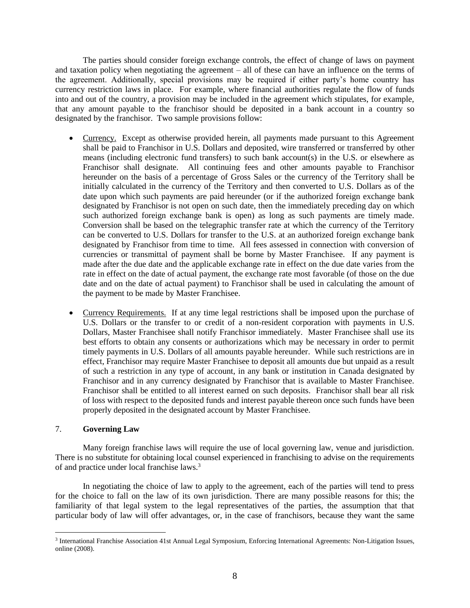The parties should consider foreign exchange controls, the effect of change of laws on payment and taxation policy when negotiating the agreement – all of these can have an influence on the terms of the agreement. Additionally, special provisions may be required if either party's home country has currency restriction laws in place. For example, where financial authorities regulate the flow of funds into and out of the country, a provision may be included in the agreement which stipulates, for example, that any amount payable to the franchisor should be deposited in a bank account in a country so designated by the franchisor. Two sample provisions follow:

- Currency. Except as otherwise provided herein, all payments made pursuant to this Agreement shall be paid to Franchisor in U.S. Dollars and deposited, wire transferred or transferred by other means (including electronic fund transfers) to such bank account(s) in the U.S. or elsewhere as Franchisor shall designate. All continuing fees and other amounts payable to Franchisor hereunder on the basis of a percentage of Gross Sales or the currency of the Territory shall be initially calculated in the currency of the Territory and then converted to U.S. Dollars as of the date upon which such payments are paid hereunder (or if the authorized foreign exchange bank designated by Franchisor is not open on such date, then the immediately preceding day on which such authorized foreign exchange bank is open) as long as such payments are timely made. Conversion shall be based on the telegraphic transfer rate at which the currency of the Territory can be converted to U.S. Dollars for transfer to the U.S. at an authorized foreign exchange bank designated by Franchisor from time to time. All fees assessed in connection with conversion of currencies or transmittal of payment shall be borne by Master Franchisee. If any payment is made after the due date and the applicable exchange rate in effect on the due date varies from the rate in effect on the date of actual payment, the exchange rate most favorable (of those on the due date and on the date of actual payment) to Franchisor shall be used in calculating the amount of the payment to be made by Master Franchisee.
- Currency Requirements. If at any time legal restrictions shall be imposed upon the purchase of U.S. Dollars or the transfer to or credit of a non-resident corporation with payments in U.S. Dollars, Master Franchisee shall notify Franchisor immediately. Master Franchisee shall use its best efforts to obtain any consents or authorizations which may be necessary in order to permit timely payments in U.S. Dollars of all amounts payable hereunder. While such restrictions are in effect, Franchisor may require Master Franchisee to deposit all amounts due but unpaid as a result of such a restriction in any type of account, in any bank or institution in Canada designated by Franchisor and in any currency designated by Franchisor that is available to Master Franchisee. Franchisor shall be entitled to all interest earned on such deposits. Franchisor shall bear all risk of loss with respect to the deposited funds and interest payable thereon once such funds have been properly deposited in the designated account by Master Franchisee.

# 7. **Governing Law**

 $\overline{a}$ 

Many foreign franchise laws will require the use of local governing law, venue and jurisdiction. There is no substitute for obtaining local counsel experienced in franchising to advise on the requirements of and practice under local franchise laws.<sup>3</sup>

In negotiating the choice of law to apply to the agreement, each of the parties will tend to press for the choice to fall on the law of its own jurisdiction. There are many possible reasons for this; the familiarity of that legal system to the legal representatives of the parties, the assumption that that particular body of law will offer advantages, or, in the case of franchisors, because they want the same

<sup>&</sup>lt;sup>3</sup> International Franchise Association 41st Annual Legal Symposium, Enforcing International Agreements: Non-Litigation Issues, online (2008).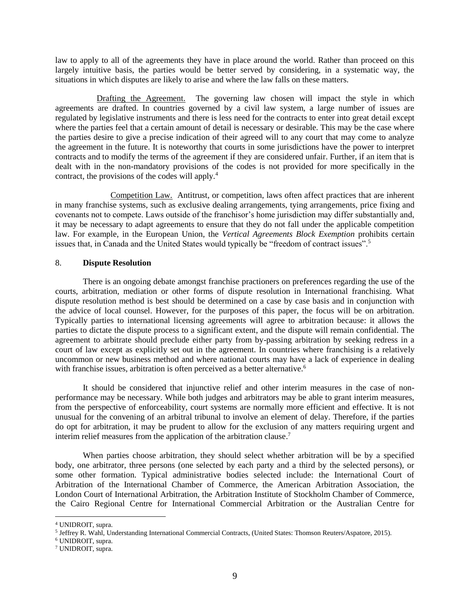law to apply to all of the agreements they have in place around the world. Rather than proceed on this largely intuitive basis, the parties would be better served by considering, in a systematic way, the situations in which disputes are likely to arise and where the law falls on these matters.

Drafting the Agreement. The governing law chosen will impact the style in which agreements are drafted. In countries governed by a civil law system, a large number of issues are regulated by legislative instruments and there is less need for the contracts to enter into great detail except where the parties feel that a certain amount of detail is necessary or desirable. This may be the case where the parties desire to give a precise indication of their agreed will to any court that may come to analyze the agreement in the future. It is noteworthy that courts in some jurisdictions have the power to interpret contracts and to modify the terms of the agreement if they are considered unfair. Further, if an item that is dealt with in the non-mandatory provisions of the codes is not provided for more specifically in the contract, the provisions of the codes will apply.<sup>4</sup>

Competition Law. Antitrust, or competition, laws often affect practices that are inherent in many franchise systems, such as exclusive dealing arrangements, tying arrangements, price fixing and covenants not to compete. Laws outside of the franchisor's home jurisdiction may differ substantially and, it may be necessary to adapt agreements to ensure that they do not fall under the applicable competition law. For example, in the European Union, the *Vertical Agreements Block Exemption* prohibits certain issues that, in Canada and the United States would typically be "freedom of contract issues".<sup>5</sup>

## 8. **Dispute Resolution**

There is an ongoing debate amongst franchise practioners on preferences regarding the use of the courts, arbitration, mediation or other forms of dispute resolution in International franchising. What dispute resolution method is best should be determined on a case by case basis and in conjunction with the advice of local counsel. However, for the purposes of this paper, the focus will be on arbitration. Typically parties to international licensing agreements will agree to arbitration because: it allows the parties to dictate the dispute process to a significant extent, and the dispute will remain confidential. The agreement to arbitrate should preclude either party from by-passing arbitration by seeking redress in a court of law except as explicitly set out in the agreement. In countries where franchising is a relatively uncommon or new business method and where national courts may have a lack of experience in dealing with franchise issues, arbitration is often perceived as a better alternative.<sup>6</sup>

It should be considered that injunctive relief and other interim measures in the case of nonperformance may be necessary. While both judges and arbitrators may be able to grant interim measures, from the perspective of enforceability, court systems are normally more efficient and effective. It is not unusual for the convening of an arbitral tribunal to involve an element of delay. Therefore, if the parties do opt for arbitration, it may be prudent to allow for the exclusion of any matters requiring urgent and interim relief measures from the application of the arbitration clause.<sup>7</sup>

When parties choose arbitration, they should select whether arbitration will be by a specified body, one arbitrator, three persons (one selected by each party and a third by the selected persons), or some other formation. Typical administrative bodies selected include: the International Court of Arbitration of the International Chamber of Commerce, the American Arbitration Association, the London Court of International Arbitration, the Arbitration Institute of Stockholm Chamber of Commerce, the Cairo Regional Centre for International Commercial Arbitration or the Australian Centre for

 $\overline{a}$ 

<sup>4</sup> UNIDROIT, supra.

<sup>5</sup> Jeffrey R. Wahl, Understanding International Commercial Contracts, (United States: Thomson Reuters/Aspatore, 2015).

<sup>6</sup> UNIDROIT, supra.

<sup>7</sup> UNIDROIT, supra.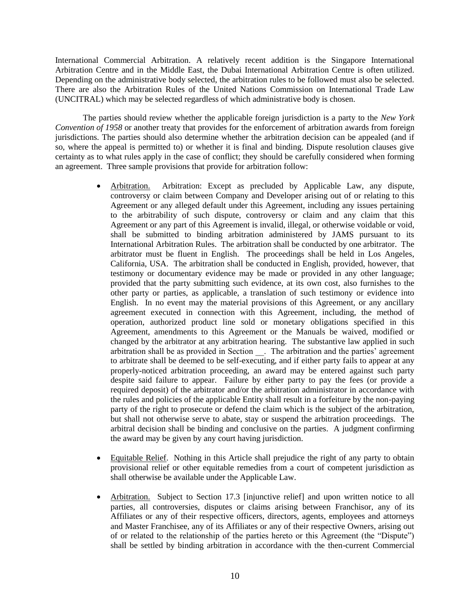International Commercial Arbitration. A relatively recent addition is the Singapore International Arbitration Centre and in the Middle East, the Dubai International Arbitration Centre is often utilized. Depending on the administrative body selected, the arbitration rules to be followed must also be selected. There are also the Arbitration Rules of the United Nations Commission on International Trade Law (UNCITRAL) which may be selected regardless of which administrative body is chosen.

The parties should review whether the applicable foreign jurisdiction is a party to the *New York Convention of 1958* or another treaty that provides for the enforcement of arbitration awards from foreign jurisdictions. The parties should also determine whether the arbitration decision can be appealed (and if so, where the appeal is permitted to) or whether it is final and binding. Dispute resolution clauses give certainty as to what rules apply in the case of conflict; they should be carefully considered when forming an agreement. Three sample provisions that provide for arbitration follow:

- Arbitration. Arbitration: Except as precluded by Applicable Law, any dispute, controversy or claim between Company and Developer arising out of or relating to this Agreement or any alleged default under this Agreement, including any issues pertaining to the arbitrability of such dispute, controversy or claim and any claim that this Agreement or any part of this Agreement is invalid, illegal, or otherwise voidable or void, shall be submitted to binding arbitration administered by JAMS pursuant to its International Arbitration Rules. The arbitration shall be conducted by one arbitrator. The arbitrator must be fluent in English. The proceedings shall be held in Los Angeles, California, USA. The arbitration shall be conducted in English, provided, however, that testimony or documentary evidence may be made or provided in any other language; provided that the party submitting such evidence, at its own cost, also furnishes to the other party or parties, as applicable, a translation of such testimony or evidence into English. In no event may the material provisions of this Agreement, or any ancillary agreement executed in connection with this Agreement, including, the method of operation, authorized product line sold or monetary obligations specified in this Agreement, amendments to this Agreement or the Manuals be waived, modified or changed by the arbitrator at any arbitration hearing. The substantive law applied in such arbitration shall be as provided in Section \_\_. The arbitration and the parties' agreement to arbitrate shall be deemed to be self-executing, and if either party fails to appear at any properly-noticed arbitration proceeding, an award may be entered against such party despite said failure to appear. Failure by either party to pay the fees (or provide a required deposit) of the arbitrator and/or the arbitration administrator in accordance with the rules and policies of the applicable Entity shall result in a forfeiture by the non-paying party of the right to prosecute or defend the claim which is the subject of the arbitration, but shall not otherwise serve to abate, stay or suspend the arbitration proceedings. The arbitral decision shall be binding and conclusive on the parties. A judgment confirming the award may be given by any court having jurisdiction.
- Equitable Relief. Nothing in this Article shall prejudice the right of any party to obtain provisional relief or other equitable remedies from a court of competent jurisdiction as shall otherwise be available under the Applicable Law.
- Arbitration. Subject to Section 17.3 [injunctive relief] and upon written notice to all parties, all controversies, disputes or claims arising between Franchisor, any of its Affiliates or any of their respective officers, directors, agents, employees and attorneys and Master Franchisee, any of its Affiliates or any of their respective Owners, arising out of or related to the relationship of the parties hereto or this Agreement (the "Dispute") shall be settled by binding arbitration in accordance with the then-current Commercial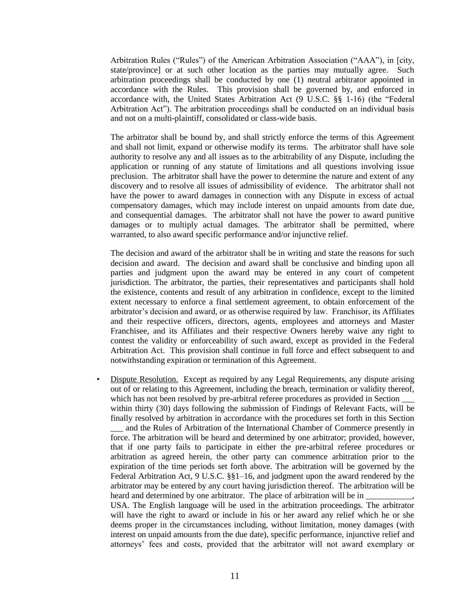Arbitration Rules ("Rules") of the American Arbitration Association ("AAA"), in [city, state/province] or at such other location as the parties may mutually agree. Such arbitration proceedings shall be conducted by one (1) neutral arbitrator appointed in accordance with the Rules. This provision shall be governed by, and enforced in accordance with, the United States Arbitration Act (9 U.S.C. §§ 1-16) (the "Federal Arbitration Act"). The arbitration proceedings shall be conducted on an individual basis and not on a multi-plaintiff, consolidated or class-wide basis.

The arbitrator shall be bound by, and shall strictly enforce the terms of this Agreement and shall not limit, expand or otherwise modify its terms. The arbitrator shall have sole authority to resolve any and all issues as to the arbitrability of any Dispute, including the application or running of any statute of limitations and all questions involving issue preclusion. The arbitrator shall have the power to determine the nature and extent of any discovery and to resolve all issues of admissibility of evidence. The arbitrator shall not have the power to award damages in connection with any Dispute in excess of actual compensatory damages, which may include interest on unpaid amounts from date due, and consequential damages. The arbitrator shall not have the power to award punitive damages or to multiply actual damages. The arbitrator shall be permitted, where warranted, to also award specific performance and/or injunctive relief.

The decision and award of the arbitrator shall be in writing and state the reasons for such decision and award. The decision and award shall be conclusive and binding upon all parties and judgment upon the award may be entered in any court of competent jurisdiction. The arbitrator, the parties, their representatives and participants shall hold the existence, contents and result of any arbitration in confidence, except to the limited extent necessary to enforce a final settlement agreement, to obtain enforcement of the arbitrator's decision and award, or as otherwise required by law. Franchisor, its Affiliates and their respective officers, directors, agents, employees and attorneys and Master Franchisee, and its Affiliates and their respective Owners hereby waive any right to contest the validity or enforceability of such award, except as provided in the Federal Arbitration Act. This provision shall continue in full force and effect subsequent to and notwithstanding expiration or termination of this Agreement.

• Dispute Resolution. Except as required by any Legal Requirements, any dispute arising out of or relating to this Agreement, including the breach, termination or validity thereof, which has not been resolved by pre-arbitral referee procedures as provided in Section within thirty (30) days following the submission of Findings of Relevant Facts, will be finally resolved by arbitration in accordance with the procedures set forth in this Section

\_\_\_ and the Rules of Arbitration of the International Chamber of Commerce presently in force. The arbitration will be heard and determined by one arbitrator; provided, however, that if one party fails to participate in either the pre-arbitral referee procedures or arbitration as agreed herein, the other party can commence arbitration prior to the expiration of the time periods set forth above. The arbitration will be governed by the Federal Arbitration Act, 9 U.S.C. §§1–16, and judgment upon the award rendered by the arbitrator may be entered by any court having jurisdiction thereof. The arbitration will be heard and determined by one arbitrator. The place of arbitration will be in

USA. The English language will be used in the arbitration proceedings. The arbitrator will have the right to award or include in his or her award any relief which he or she deems proper in the circumstances including, without limitation, money damages (with interest on unpaid amounts from the due date), specific performance, injunctive relief and attorneys' fees and costs, provided that the arbitrator will not award exemplary or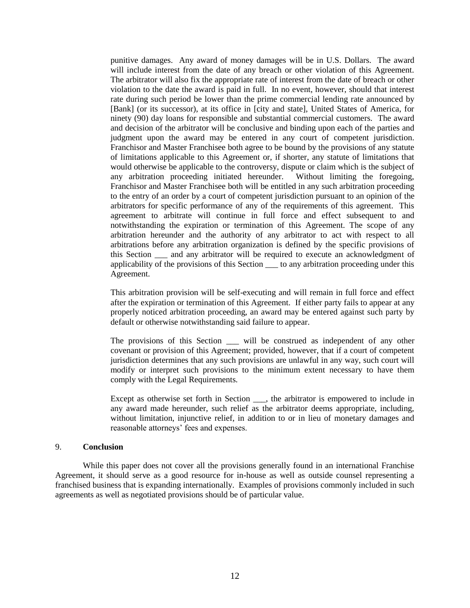punitive damages. Any award of money damages will be in U.S. Dollars. The award will include interest from the date of any breach or other violation of this Agreement. The arbitrator will also fix the appropriate rate of interest from the date of breach or other violation to the date the award is paid in full. In no event, however, should that interest rate during such period be lower than the prime commercial lending rate announced by [Bank] (or its successor), at its office in [city and state], United States of America, for ninety (90) day loans for responsible and substantial commercial customers. The award and decision of the arbitrator will be conclusive and binding upon each of the parties and judgment upon the award may be entered in any court of competent jurisdiction. Franchisor and Master Franchisee both agree to be bound by the provisions of any statute of limitations applicable to this Agreement or, if shorter, any statute of limitations that would otherwise be applicable to the controversy, dispute or claim which is the subject of any arbitration proceeding initiated hereunder. Without limiting the foregoing, Franchisor and Master Franchisee both will be entitled in any such arbitration proceeding to the entry of an order by a court of competent jurisdiction pursuant to an opinion of the arbitrators for specific performance of any of the requirements of this agreement. This agreement to arbitrate will continue in full force and effect subsequent to and notwithstanding the expiration or termination of this Agreement. The scope of any arbitration hereunder and the authority of any arbitrator to act with respect to all arbitrations before any arbitration organization is defined by the specific provisions of this Section \_\_\_ and any arbitrator will be required to execute an acknowledgment of applicability of the provisions of this Section \_\_\_ to any arbitration proceeding under this Agreement.

This arbitration provision will be self-executing and will remain in full force and effect after the expiration or termination of this Agreement. If either party fails to appear at any properly noticed arbitration proceeding, an award may be entered against such party by default or otherwise notwithstanding said failure to appear.

The provisions of this Section \_\_\_ will be construed as independent of any other covenant or provision of this Agreement; provided, however, that if a court of competent jurisdiction determines that any such provisions are unlawful in any way, such court will modify or interpret such provisions to the minimum extent necessary to have them comply with the Legal Requirements.

Except as otherwise set forth in Section \_\_\_, the arbitrator is empowered to include in any award made hereunder, such relief as the arbitrator deems appropriate, including, without limitation, injunctive relief, in addition to or in lieu of monetary damages and reasonable attorneys' fees and expenses.

### 9. **Conclusion**

While this paper does not cover all the provisions generally found in an international Franchise Agreement, it should serve as a good resource for in-house as well as outside counsel representing a franchised business that is expanding internationally. Examples of provisions commonly included in such agreements as well as negotiated provisions should be of particular value.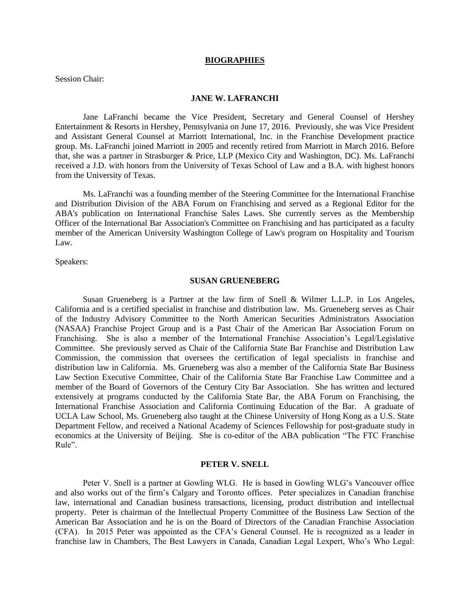#### **BIOGRAPHIES**

Session Chair:

## **JANE W. LAFRANCHI**

Jane LaFranchi became the Vice President, Secretary and General Counsel of Hershey Entertainment & Resorts in Hershey, Pennsylvania on June 17, 2016. Previously, she was Vice President and Assistant General Counsel at Marriott International, Inc. in the Franchise Development practice group. Ms. LaFranchi joined Marriott in 2005 and recently retired from Marriott in March 2016. Before that, she was a partner in Strasburger & Price, LLP (Mexico City and Washington, DC). Ms. LaFranchi received a J.D. with honors from the University of Texas School of Law and a B.A. with highest honors from the University of Texas.

Ms. LaFranchi was a founding member of the Steering Committee for the International Franchise and Distribution Division of the ABA Forum on Franchising and served as a Regional Editor for the ABA's publication on International Franchise Sales Laws. She currently serves as the Membership Officer of the International Bar Association's Committee on Franchising and has participated as a faculty member of the American University Washington College of Law's program on Hospitality and Tourism Law.

Speakers:

### **SUSAN GRUENEBERG**

Susan Grueneberg is a Partner at the law firm of Snell & Wilmer L.L.P. in Los Angeles, California and is a certified specialist in franchise and distribution law. Ms. Grueneberg serves as Chair of the Industry Advisory Committee to the North American Securities Administrators Association (NASAA) Franchise Project Group and is a Past Chair of the American Bar Association Forum on Franchising. She is also a member of the International Franchise Association's Legal/Legislative Committee. She previously served as Chair of the California State Bar Franchise and Distribution Law Commission, the commission that oversees the certification of legal specialists in franchise and distribution law in California. Ms. Grueneberg was also a member of the California State Bar Business Law Section Executive Committee, Chair of the California State Bar Franchise Law Committee and a member of the Board of Governors of the Century City Bar Association. She has written and lectured extensively at programs conducted by the California State Bar, the ABA Forum on Franchising, the International Franchise Association and California Continuing Education of the Bar. A graduate of UCLA Law School, Ms. Grueneberg also taught at the Chinese University of Hong Kong as a U.S. State Department Fellow, and received a National Academy of Sciences Fellowship for post-graduate study in economics at the University of Beijing. She is co-editor of the ABA publication "The FTC Franchise Rule".

### **PETER V. SNELL**

Peter V. Snell is a partner at Gowling WLG. He is based in Gowling WLG's Vancouver office and also works out of the firm's Calgary and Toronto offices. Peter specializes in Canadian franchise law, international and Canadian business transactions, licensing, product distribution and intellectual property. Peter is chairman of the Intellectual Property Committee of the Business Law Section of the American Bar Association and he is on the Board of Directors of the Canadian Franchise Association (CFA). In 2015 Peter was appointed as the CFA's General Counsel. He is recognized as a leader in franchise law in Chambers, The Best Lawyers in Canada, Canadian Legal Lexpert, Who's Who Legal: